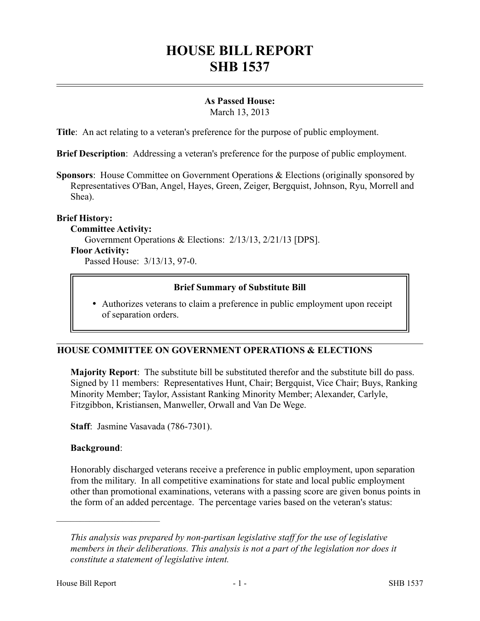# **HOUSE BILL REPORT SHB 1537**

## **As Passed House:**

March 13, 2013

**Title**: An act relating to a veteran's preference for the purpose of public employment.

**Brief Description**: Addressing a veteran's preference for the purpose of public employment.

**Sponsors**: House Committee on Government Operations & Elections (originally sponsored by Representatives O'Ban, Angel, Hayes, Green, Zeiger, Bergquist, Johnson, Ryu, Morrell and Shea).

## **Brief History:**

#### **Committee Activity:**

Government Operations & Elections: 2/13/13, 2/21/13 [DPS].

#### **Floor Activity:**

Passed House: 3/13/13, 97-0.

## **Brief Summary of Substitute Bill**

 Authorizes veterans to claim a preference in public employment upon receipt of separation orders.

## **HOUSE COMMITTEE ON GOVERNMENT OPERATIONS & ELECTIONS**

**Majority Report**: The substitute bill be substituted therefor and the substitute bill do pass. Signed by 11 members: Representatives Hunt, Chair; Bergquist, Vice Chair; Buys, Ranking Minority Member; Taylor, Assistant Ranking Minority Member; Alexander, Carlyle, Fitzgibbon, Kristiansen, Manweller, Orwall and Van De Wege.

**Staff**: Jasmine Vasavada (786-7301).

## **Background**:

––––––––––––––––––––––

Honorably discharged veterans receive a preference in public employment, upon separation from the military. In all competitive examinations for state and local public employment other than promotional examinations, veterans with a passing score are given bonus points in the form of an added percentage. The percentage varies based on the veteran's status:

*This analysis was prepared by non-partisan legislative staff for the use of legislative members in their deliberations. This analysis is not a part of the legislation nor does it constitute a statement of legislative intent.*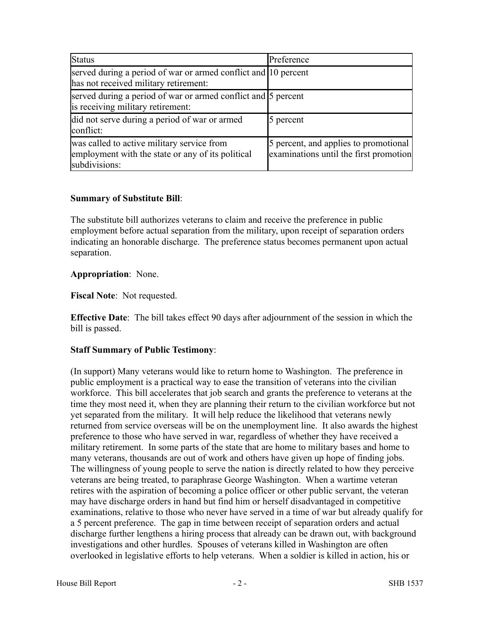| <b>Status</b>                                                                                                    | Preference                                                                      |
|------------------------------------------------------------------------------------------------------------------|---------------------------------------------------------------------------------|
| served during a period of war or armed conflict and 10 percent<br>has not received military retirement:          |                                                                                 |
| served during a period of war or armed conflict and 5 percent<br>is receiving military retirement:               |                                                                                 |
| did not serve during a period of war or armed<br>conflict:                                                       | 5 percent                                                                       |
| was called to active military service from<br>employment with the state or any of its political<br>subdivisions: | 5 percent, and applies to promotional<br>examinations until the first promotion |

#### **Summary of Substitute Bill**:

The substitute bill authorizes veterans to claim and receive the preference in public employment before actual separation from the military, upon receipt of separation orders indicating an honorable discharge. The preference status becomes permanent upon actual separation.

## **Appropriation**: None.

**Fiscal Note**: Not requested.

**Effective Date**: The bill takes effect 90 days after adjournment of the session in which the bill is passed.

## **Staff Summary of Public Testimony**:

(In support) Many veterans would like to return home to Washington. The preference in public employment is a practical way to ease the transition of veterans into the civilian workforce. This bill accelerates that job search and grants the preference to veterans at the time they most need it, when they are planning their return to the civilian workforce but not yet separated from the military. It will help reduce the likelihood that veterans newly returned from service overseas will be on the unemployment line. It also awards the highest preference to those who have served in war, regardless of whether they have received a military retirement. In some parts of the state that are home to military bases and home to many veterans, thousands are out of work and others have given up hope of finding jobs. The willingness of young people to serve the nation is directly related to how they perceive veterans are being treated, to paraphrase George Washington. When a wartime veteran retires with the aspiration of becoming a police officer or other public servant, the veteran may have discharge orders in hand but find him or herself disadvantaged in competitive examinations, relative to those who never have served in a time of war but already qualify for a 5 percent preference. The gap in time between receipt of separation orders and actual discharge further lengthens a hiring process that already can be drawn out, with background investigations and other hurdles. Spouses of veterans killed in Washington are often overlooked in legislative efforts to help veterans. When a soldier is killed in action, his or